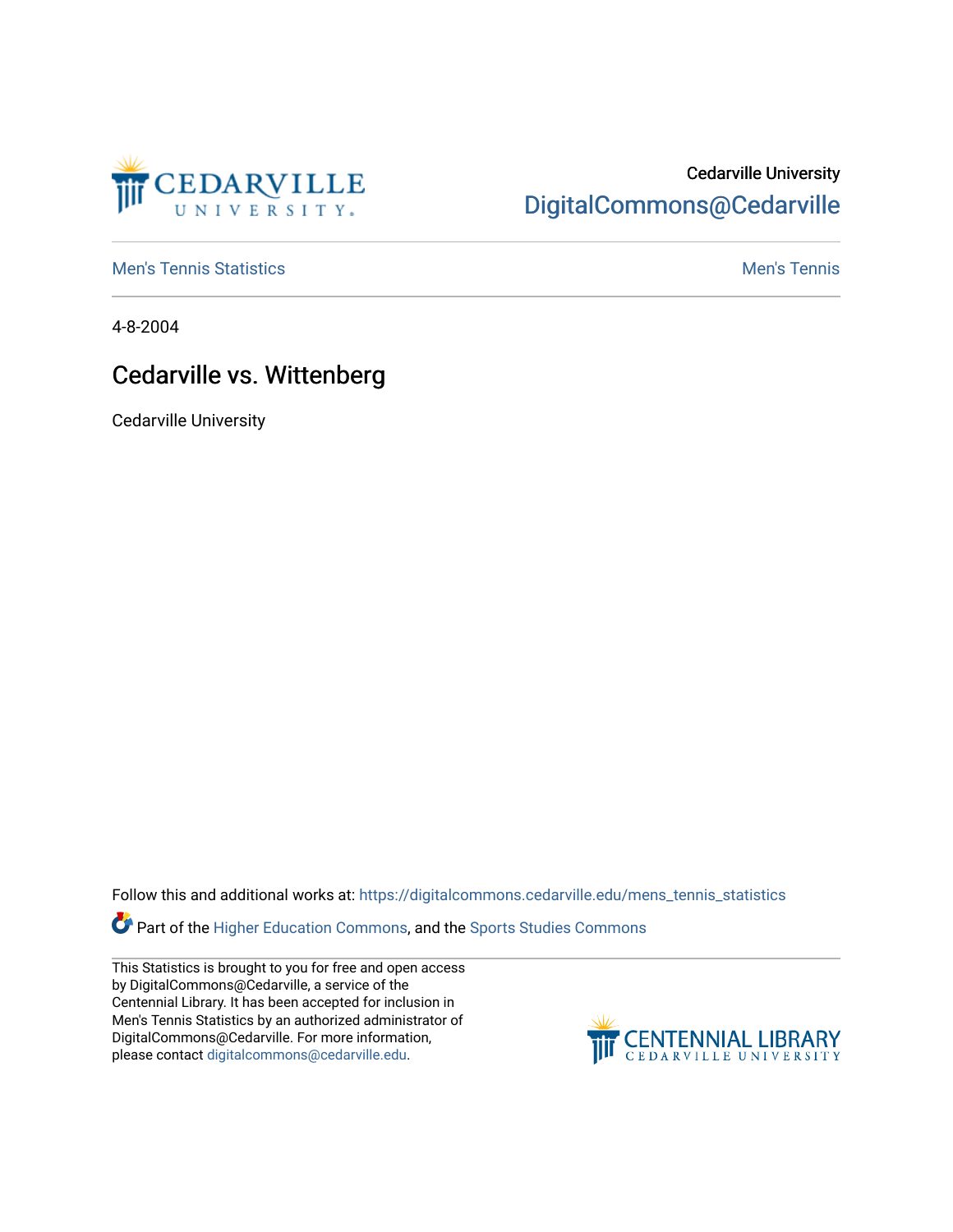

## Cedarville University [DigitalCommons@Cedarville](https://digitalcommons.cedarville.edu/)

**[Men's Tennis Statistics](https://digitalcommons.cedarville.edu/mens_tennis_statistics) Mental According to the Control of Control According Mental Men's Tennis** 

4-8-2004

## Cedarville vs. Wittenberg

Cedarville University

Follow this and additional works at: [https://digitalcommons.cedarville.edu/mens\\_tennis\\_statistics](https://digitalcommons.cedarville.edu/mens_tennis_statistics?utm_source=digitalcommons.cedarville.edu%2Fmens_tennis_statistics%2F589&utm_medium=PDF&utm_campaign=PDFCoverPages)

Part of the [Higher Education Commons,](http://network.bepress.com/hgg/discipline/1245?utm_source=digitalcommons.cedarville.edu%2Fmens_tennis_statistics%2F589&utm_medium=PDF&utm_campaign=PDFCoverPages) and the [Sports Studies Commons](http://network.bepress.com/hgg/discipline/1198?utm_source=digitalcommons.cedarville.edu%2Fmens_tennis_statistics%2F589&utm_medium=PDF&utm_campaign=PDFCoverPages) 

This Statistics is brought to you for free and open access by DigitalCommons@Cedarville, a service of the Centennial Library. It has been accepted for inclusion in Men's Tennis Statistics by an authorized administrator of DigitalCommons@Cedarville. For more information, please contact [digitalcommons@cedarville.edu](mailto:digitalcommons@cedarville.edu).